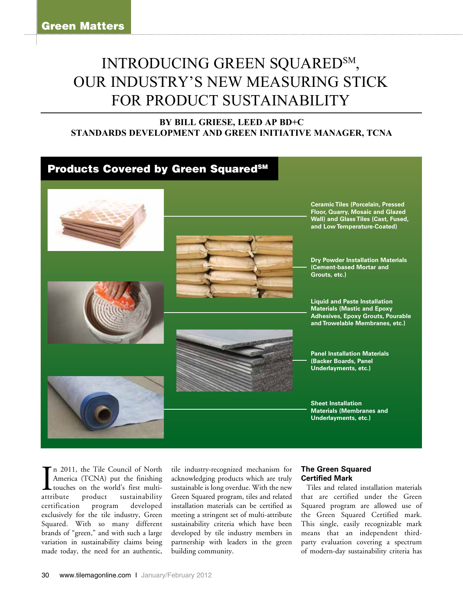# INTRODUCING GREEN SQUARED<sup>SM</sup>, our industry's new measuring stick FOR PRODUCT SUSTAINABILITY

# **BY BILL GRIESE, LEED AP BD+C Standards Development and Green Initiative Manager, TCNA**



attribute n 2011, the Tile Council of North America (TCNA) put the finishing touches on the world's first multiproduct sustainability certification program developed exclusively for the tile industry, Green Squared. With so many different brands of "green," and with such a large variation in sustainability claims being made today, the need for an authentic,

tile industry-recognized mechanism for acknowledging products which are truly sustainable is long overdue. With the new Green Squared program, tiles and related installation materials can be certified as meeting a stringent set of multi-attribute sustainability criteria which have been developed by tile industry members in partnership with leaders in the green building community.

### **The Green Squared Certified Mark**

Tiles and related installation materials that are certified under the Green Squared program are allowed use of the Green Squared Certified mark. This single, easily recognizable mark means that an independent thirdparty evaluation covering a spectrum of modern-day sustainability criteria has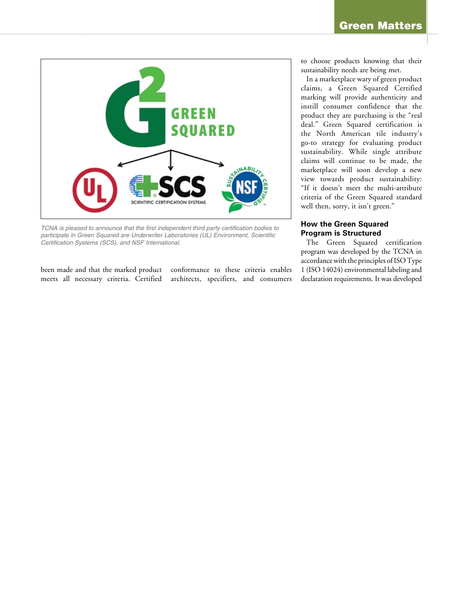

*TCNA is pleased to announce that the first independent third party certification bodies to participate in Green Squared are Underwriter Laboratories (UL) Environment, Scientific Certification Systems (SCS), and NSF International.* 

been made and that the marked product meets all necessary criteria. Certified

conformance to these criteria enables architects, specifiers, and consumers to choose products knowing that their sustainability needs are being met.

In a marketplace wary of green product claims, a Green Squared Certified marking will provide authenticity and instill consumer confidence that the product they are purchasing is the "real deal." Green Squared certification is the North American tile industry's go-to strategy for evaluating product sustainability. While single attribute claims will continue to be made, the marketplace will soon develop a new view towards product sustainability: "If it doesn't meet the multi-attribute criteria of the Green Squared standard well then, sorry, it isn't green."

## **How the Green Squared Program is Structured**

The Green Squared certification program was developed by the TCNA in accordance with the principles of ISO Type 1 (ISO 14024) environmental labeling and declaration requirements. It was developed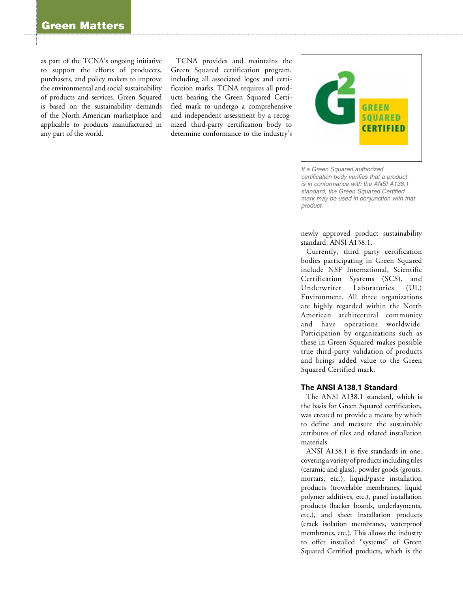as part of the TCNA's ongoing initiative to support the efforts of producers, purchasers, and policy makers to improve the environmental and social sustainability of products and services. Green Squared is based on the sustainability demands of the North American marketplace and applicable to products manufactured in any part of the world.

TCNA provides and maintains the Green Squared certification program, including all associated logos and certification marks. TCNA requires all products bearing the Green Squared Certified mark to undergo a comprehensive and independent assessment by a recognized third-party certification body to determine conformance to the industry's



*If a Green Squared authorized certification body verifies that a product is in conformance with the ANSI A138.1 standard, the Green Squared Certified mark may be used in conjunction with that product.* 

newly approved product sustainability standard, ANSI A138.1.

Currently, third party certification bodies participating in Green Squared include NSF International, Scientific Certification Systems (SCS), and Underwriter Laboratories (UL) Environment. All three organizations are highly regarded within the North American architectural community and have operations worldwide. Participation by organizations such as these in Green Squared makes possible true third-party validation of products and brings added value to the Green Squared Certified mark.

#### **The ANSI A138.1 Standard**

The ANSI A138.1 standard, which is the basis for Green Squared certification, was created to provide a means by which to define and measure the sustainable attributes of tiles and related installation materials.

ANSI A138.1 is five standards in one, covering a variety of products including tiles (ceramic and glass), powder goods (grouts, mortars, etc.), liquid/paste installation products (trowelable membranes, liquid polymer additives, etc.), panel installation products (backer boards, underlayments, etc.), and sheet installation products (crack isolation membranes, waterproof membranes, etc.). This allows the industry to offer installed "systems" of Green Squared Certified products, which is the